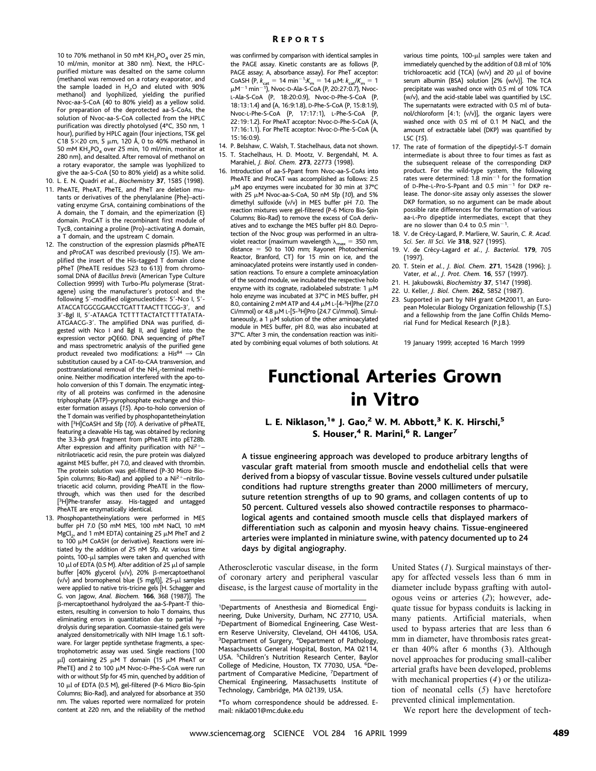10 to 70% methanol in 50 mM  $KH_{2}PO_{4}$  over 25 min, 10 ml/min, monitor at 380 nm). Next, the HPLCpurified mixture was desalted on the same column (methanol was removed on a rotary evaporator, and the sample loaded in  $H<sub>2</sub>O$  and eluted with 90% methanol) and lyophilized, yielding the purified Nvoc-aa-S-CoA (40 to 80% yield) as a yellow solid. For preparation of the deprotected aa-S-CoAs, the solution of Nvoc-aa-S-CoA collected from the HPLC purification was directly photolysed (4°C, 350 nm, 1 hour), purified by HPLC again (four injections, TSK gel C18 5 $\times$ 20 cm, 5  $\mu$ m, 120 Å, 0 to 40% methanol in 50 mM  $KH<sub>2</sub>PO<sub>4</sub>$  over 25 min, 10 ml/min, monitor at 280 nm), and desalted. After removal of methanol on a rotary evaporator, the sample was lyophilized to give the aa-S-CoA (50 to 80% yield) as a white solid.

- 10. L. E. N. Quadri *et al.*, *Biochemistry* **37**, 1585 (1998). 11. PheATE, PheAT, PheTE, and PheT are deletion mutants or derivatives of the phenylalanine (Phe)–activating enzyme GrsA, containing combinations of the A domain, the T domain, and the epimerization (E) domain. ProCAT is the recombinant first module of TycB, containing a proline (Pro)–activating A domain, a T domain, and the upstream C domain.
- 12. The construction of the expression plasmids pPheATE and pProCAT was described previously (*15*). We amplified the insert of the His-tagged T domain clone pPheT (PheATE residues 523 to 613) from chromosomal DNA of *Bacillus brevis* (American Type Culture Collection 9999) with Turbo-Pfu polymerase (Stratagene) using the manufacturer's protocol and the following 5'-modified oligonucleotides: 5'-Nco I, 5'-ATACCATGGCGGAACCTGATTTAACTTTCGG-3', and 3'-Bgl II, 5'-ATAAGA TCTTTTACTATCTTTTATATA-ATGAACG-3'. The amplified DNA was purified, digested with Nco I and Bgl II, and ligated into the expression vector pQE60. DNA sequencing of pPheT and mass spectrometric analysis of the purified gene product revealed two modifications: a His $^{84} \rightarrow$  Gln substitution caused by a CAT-to-CAA transversion, and posttranslational removal of the  $NH<sub>2</sub>$ -terminal methionine. Neither modification interfered with the apo-toholo conversion of this T domain. The enzymatic integrity of all proteins was confirmed in the adenosine triphosphate (ATP)–pyrophosphate exchange and thioester formation assays (*15*). Apo-to-holo conversion of the T domain was verified by phosphopantetheinylation with [ 3H]CoASH and Sfp (*10*). A derivative of pPheATE, featuring a cleavable His tag, was obtained by recloning the 3.3-kb *grsA* fragment from pPheATE into pET28b. After expression and affinity purification with  $Ni<sup>2+</sup>$ nitrilotriacetic acid resin, the pure protein was dialyzed against MES buffer, pH 7.0, and cleaved with thrombin. The protein solution was gel-filtered (P-30 Micro Bio-Spin columns; Bio-Rad) and applied to a  $Ni<sup>2+</sup>$ -nitrilotriacetic acid column, providing PheATE in the flowthrough, which was then used for the described [<sup>3</sup>H]Phe-transfer assay. His-tagged and untagged PheATE are enzymatically identical.
- 13. Phosphopantetheinylations were performed in MES buffer pH 7.0 (50 mM MES, 100 mM NaCl, 10 mM  $MgCl<sub>2</sub>$ , and 1 mM EDTA) containing 25  $\mu$ M PheT and 2 to 100  $\mu$ M CoASH (or derivative). Reactions were initiated by the addition of 25 nM Sfp. At various time points,  $100-\mu l$  samples were taken and quenched with 10  $\mu$ l of EDTA (0.5 M). After addition of 25  $\mu$ l of sample buffer [40% glycerol (v/v), 20% %-mercaptoethanol (v/v) and bromophenol blue (5 mg/l)],  $25-\mu l$  samples were applied to native tris-tricine gels [H. Schagger and G. von Jagow, *Anal. Biochem.* **166**, 368 (1987)]. The %-mercaptoethanol hydrolyzed the aa-S-Ppant-T thioesters, resulting in conversion to holo T domains, thus eliminating errors in quantitation due to partial hydrolysis during separation. Coomassie-stained gels were analyzed densitometrically with NIH Image 1.6.1 software. For larger peptide synthetase fragments, a spectrophotometric assay was used. Single reactions (100  $\mu$ l) containing 25  $\mu$ M T domain (15  $\mu$ M PheAT or PheTE) and 2 to 100  $\mu$ M Nvoc-D-Phe-S-CoA were run with or without Sfp for 45 min, quenched by addition of 10 μl of EDTA (0.5 M), gel-filtered (P-6 Micro Bio-Spin Columns; Bio-Rad), and analyzed for absorbance at 350 nm. The values reported were normalized for protein content at 220 nm, and the reliability of the method

was confirmed by comparison with identical samples in the PAGE assay. Kinetic constants are as follows (P, PAGE assay; A, absorbance assay). For PheT acceptor:  $\text{CoASH (P, } k_{\text{cat}} = 14 \text{ min}^{-1}$ : $K_{\text{m}} = 14 \text{ }\mu\text{M}$ :  $k_{\text{cat}}/K_{\text{m}} = 1$  $\mu$ M<sup>-1</sup> min<sup>-1</sup>), Nvoc-D-Ala-S-CoA (P, 20:27:0.7), Nvoc-L-Ala-S-CoA (P, 18:20:0.9), Nvoc-D-Phe-S-CoA (P, 18:13:1.4) and (A, 16:9:1.8), D-Phe-S-CoA (P, 15:8:1.9), Nvoc-L-Phe-S-CoA (P, 17:17:1), L-Phe-S-CoA (P, 22:19:1.2). For PheAT acceptor: Nvoc-D-Phe-S-CoA (A, 17:16:1.1). For PheTE acceptor: Nvoc-D-Phe-S-CoA (A,  $15.16:0.9$ 

- 14. P. Belshaw, C. Walsh, T. Stachelhaus, data not shown. 15. T. Stachelhaus, H. D. Mootz, V. Bergendahl, M. A. Marahiel, *J. Biol. Chem.* **273**, 22773 (1998).
- 16. Introduction of aa-S-Ppant from Nvoc-aa-S-CoAs into PheATE and ProCAT was accomplished as follows: 2.5  $\mu$ M apo enzymes were incubated for 30 min at 37°C with 25  $\mu$ M Nvoc-aa-S-CoA, 50 nM Sfp (10), and 5% dimethyl sulfoxide (v/v) in MES buffer pH 7.0. The reaction mixtures were gel-filtered (P-6 Micro Bio-Spin Columns; Bio-Rad) to remove the excess of CoA derivatives and to exchange the MES buffer pH 8.0. Deprotection of the Nvoc group was performed in an ultraviolet reactor (maximum wavelength  $\lambda_{\rm max} = 350$  nm,<br>distance = 50 to 100 mm; Rayonet Photochemical Reactor, Branford, CT) for 15 min on ice, and the aminoacylated proteins were instantly used in condensation reactions. To ensure a complete aminoacylation of the second module, we incubated the respective holo enzyme with its cognate, radiolabeled substrate:  $1 \mu M$ holo enzyme was incubated at 37°C in MES buffer, pH 8.0, containing 2 mM ATP and 4.4  $\mu$ M L-[4-<sup>3</sup>H]Phe (27.0 Ci/mmol) or  $4.8 \mu$ M L-[5-<sup>3</sup>H]Pro (24.7 Ci/mmol). Simultaneously, a 1  $\mu$ M solution of the other aminoacylated module in MES buffer, pH 8.0, was also incubated at 37°C. After 3 min, the condensation reaction was initiated by combining equal volumes of both solutions. At

various time points,  $100-\mu l$  samples were taken and immediately quenched by the addition of 0.8 ml of 10% trichloroacetic acid (TCA) (w/v) and 20  $\mu$ l of bovine serum albumin (BSA) solution [2% (w/v)]. The TCA precipitate was washed once with 0.5 ml of 10% TCA (w/v), and the acid-stable label was quantified by LSC. The supernatants were extracted with 0.5 ml of butanol/chloroform [4:1; (v/v)], the organic layers were washed once with 0.5 ml of 0.1 M NaCl, and the amount of extractable label (DKP) was quantified by LSC (*15*).

- 17. The rate of formation of the dipeptidyl-S-T domain intermediate is about three to four times as fast as the subsequent release of the corresponding DKP product. For the wild-type system, the following rates were determined:  $1.8 \text{ min}^{-1}$  for the formation of D-Phe-L-Pro-S-Ppant and  $0.5$  min<sup>-1</sup> for DKP release. The donor-site assay only assesses the slower DKP formation, so no argument can be made about possible rate differences for the formation of various aa-L-Pro dipeptide intermediates, except that they are no slower than 0.4 to 0.5 min<sup>-1</sup>.
- 18. V. de Cre´cy-Lagard, P. Marliere, W. Saurin, *C. R. Acad. Sci. Ser. III Sci. Vie* **318**, 927 (1995).
- 19. V. de Cre´cy-Lagard *et al.*, *J. Bacteriol.* **179**, 705 (1997).
- 20. T. Stein *et al.*, *J. Biol. Chem.* **271**, 15428 (1996); J. Vater*, et al.*, *J. Prot. Chem.* **16**, 557 (1997).
- 21. H. Jakubowski, *Biochemistry* **37**, 5147 (1998).
- 22. U. Keller, *J. Biol. Chem.* **262**, 5852 (1987).
- 23. Supported in part by NIH grant GM20011, an European Molecular Biology Organization fellowship (T.S.) and a fellowship from the Jane Coffin Childs Memorial Fund for Medical Research (P.J.B.).

19 January 1999; accepted 16 March 1999

## Functional Arteries Grown in Vitro

## L. E. Niklason,<sup>1</sup>\* J. Gao,<sup>2</sup> W. M. Abbott,<sup>3</sup> K. K. Hirschi,<sup>5</sup> S. Houser, $4$  R. Marini, $6$  R. Langer $7$

A tissue engineering approach was developed to produce arbitrary lengths of vascular graft material from smooth muscle and endothelial cells that were derived from a biopsy of vascular tissue. Bovine vessels cultured under pulsatile conditions had rupture strengths greater than 2000 millimeters of mercury, suture retention strengths of up to 90 grams, and collagen contents of up to 50 percent. Cultured vessels also showed contractile responses to pharmacological agents and contained smooth muscle cells that displayed markers of differentiation such as calponin and myosin heavy chains. Tissue-engineered arteries were implanted in miniature swine, with patency documented up to 24 days by digital angiography.

Atherosclerotic vascular disease, in the form of coronary artery and peripheral vascular disease, is the largest cause of mortality in the

\*To whom correspondence should be addressed. Email: nikla001@mc.duke.edu

United States (*1*). Surgical mainstays of therapy for affected vessels less than 6 mm in diameter include bypass grafting with autologous veins or arteries (*2*); however, adequate tissue for bypass conduits is lacking in many patients. Artificial materials, when used to bypass arteries that are less than 6 mm in diameter, have thrombosis rates greater than 40% after 6 months (3). Although novel approaches for producing small-caliber arterial grafts have been developed, problems with mechanical properties (*4*) or the utilization of neonatal cells (*5*) have heretofore prevented clinical implementation.

We report here the development of tech-

<sup>&</sup>lt;sup>1</sup>Departments of Anesthesia and Biomedical Engineering, Duke University, Durham, NC 27710, USA. 2 Department of Biomedical Engineering, Case Western Reserve University, Cleveland, OH 44106, USA. <sup>3</sup>Department of Surgery, <sup>4</sup>Department of Pathology, Massachusetts General Hospital, Boston, MA 02114, USA. <sup>5</sup> Children's Nutrition Research Center, Baylor College of Medicine, Houston, TX 77030, USA. 6Department of Comparative Medicine, 7Department of Chemical Engineering, Massachusetts Institute of Technology, Cambridge, MA 02139, USA.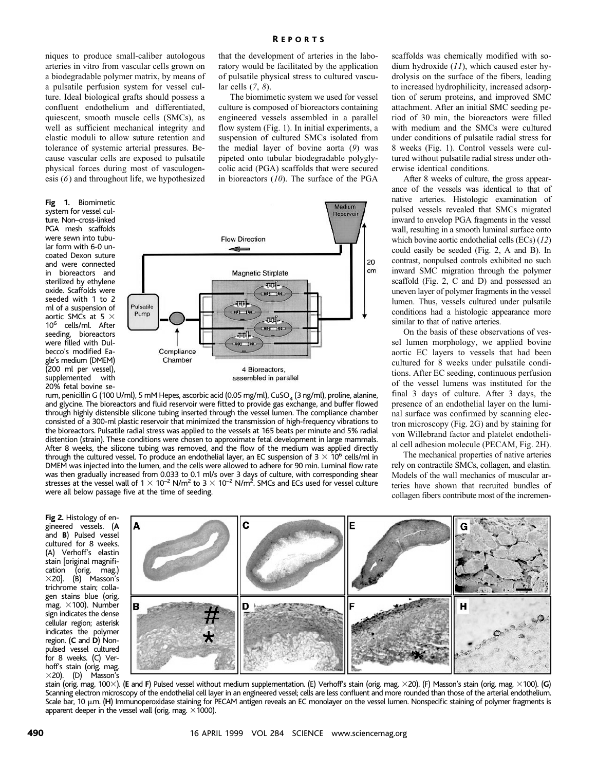niques to produce small-caliber autologous arteries in vitro from vascular cells grown on a biodegradable polymer matrix, by means of a pulsatile perfusion system for vessel culture. Ideal biological grafts should possess a confluent endothelium and differentiated, quiescent, smooth muscle cells (SMCs), as well as sufficient mechanical integrity and elastic moduli to allow suture retention and tolerance of systemic arterial pressures. Because vascular cells are exposed to pulsatile physical forces during most of vasculogenesis (*6*) and throughout life, we hypothesized

**Fig 1.** Biomimetic system for vessel culture. Non–cross-linked PGA mesh scaffolds were sewn into tubular form with 6-0 uncoated Dexon suture and were connected in bioreactors and sterilized by ethylene oxide. Scaffolds were seeded with 1 to 2 ml of a suspension of aortic SMCs at 5  $\times$ 106 cells/ml. After seeding, bioreactors were filled with Dulbecco's modified Eagle's medium (DMEM) (200 ml per vessel), supplemented with 20% fetal bovine sethat the development of arteries in the laboratory would be facilitated by the application of pulsatile physical stress to cultured vascular cells (*7*, *8*).

The biomimetic system we used for vessel culture is composed of bioreactors containing engineered vessels assembled in a parallel flow system (Fig. 1). In initial experiments, a suspension of cultured SMCs isolated from the medial layer of bovine aorta (*9*) was pipeted onto tubular biodegradable polyglycolic acid (PGA) scaffolds that were secured in bioreactors (*10*). The surface of the PGA



rum, penicillin G (100 U/ml), 5 mM Hepes, ascorbic acid (0.05 mg/ml), CuSO<sub>4</sub> (3 ng/ml), proline, alanine, and glycine. The bioreactors and fluid reservoir were fitted to provide gas exchange, and buffer flowed through highly distensible silicone tubing inserted through the vessel lumen. The compliance chamber consisted of a 300-ml plastic reservoir that minimized the transmission of high-frequency vibrations to the bioreactors. Pulsatile radial stress was applied to the vessels at 165 beats per minute and 5% radial distention (strain). These conditions were chosen to approximate fetal development in large mammals. After 8 weeks, the silicone tubing was removed, and the flow of the medium was applied directly through the cultured vessel. To produce an endothelial layer, an EC suspension of  $3 \times 10^6$  cells/ml in DMEM was injected into the lumen, and the cells were allowed to adhere for 90 min. Luminal flow rate was then gradually increased from 0.033 to 0.1 ml/s over 3 days of culture, with corresponding shear stresses at the vessel wall of 1  $\times$  10<sup>–2</sup> N/m<sup>2</sup> to 3  $\times$  10<sup>–2</sup> N/m<sup>2</sup>. SMCs and ECs used for vessel culture were all below passage five at the time of seeding.

**Fig 2.** Histology of engineered vessels. (**A** and **B**) Pulsed vessel cultured for 8 weeks. (A) Verhoff's elastin stain [original magnifi-(orig. mag.)  $\times$ 20]. (B) Masson's trichrome stain; collagen stains blue (orig. mag.  $\times$ 100). Number sign indicates the dense cellular region; asterisk indicates the polymer region. (**C** and **D**) Nonpulsed vessel cultured for 8 weeks. (C) Verhoff's stain (orig. mag.  $\times$ 20). (D) Masson's



stain (orig. mag. 100×). (E and F) Pulsed vessel without medium supplementation. (E) Verhoff's stain (orig. mag. ×20). (F) Masson's stain (orig. mag. ×100). (G) Scanning electron microscopy of the endothelial cell layer in an engineered vessel; cells are less confluent and more rounded than those of the arterial endothelium. Scale bar, 10  $\mu$ m. (H) Immunoperoxidase staining for PECAM antigen reveals an EC monolayer on the vessel lumen. Nonspecific staining of polymer fragments is apparent deeper in the vessel wall (orig. mag.  $\times$ 1000).

scaffolds was chemically modified with sodium hydroxide (*11*), which caused ester hydrolysis on the surface of the fibers, leading to increased hydrophilicity, increased adsorption of serum proteins, and improved SMC attachment. After an initial SMC seeding period of 30 min, the bioreactors were filled with medium and the SMCs were cultured under conditions of pulsatile radial stress for 8 weeks (Fig. 1). Control vessels were cultured without pulsatile radial stress under otherwise identical conditions.

After 8 weeks of culture, the gross appearance of the vessels was identical to that of native arteries. Histologic examination of pulsed vessels revealed that SMCs migrated inward to envelop PGA fragments in the vessel wall, resulting in a smooth luminal surface onto which bovine aortic endothelial cells (ECs) (*12*) could easily be seeded (Fig. 2, A and B). In contrast, nonpulsed controls exhibited no such inward SMC migration through the polymer scaffold (Fig. 2, C and D) and possessed an uneven layer of polymer fragments in the vessel lumen. Thus, vessels cultured under pulsatile conditions had a histologic appearance more similar to that of native arteries.

On the basis of these observations of vessel lumen morphology, we applied bovine aortic EC layers to vessels that had been cultured for 8 weeks under pulsatile conditions. After EC seeding, continuous perfusion of the vessel lumens was instituted for the final 3 days of culture. After 3 days, the presence of an endothelial layer on the luminal surface was confirmed by scanning electron microscopy (Fig. 2G) and by staining for von Willebrand factor and platelet endothelial cell adhesion molecule (PECAM, Fig. 2H).

The mechanical properties of native arteries rely on contractile SMCs, collagen, and elastin. Models of the wall mechanics of muscular arteries have shown that recruited bundles of collagen fibers contribute most of the incremen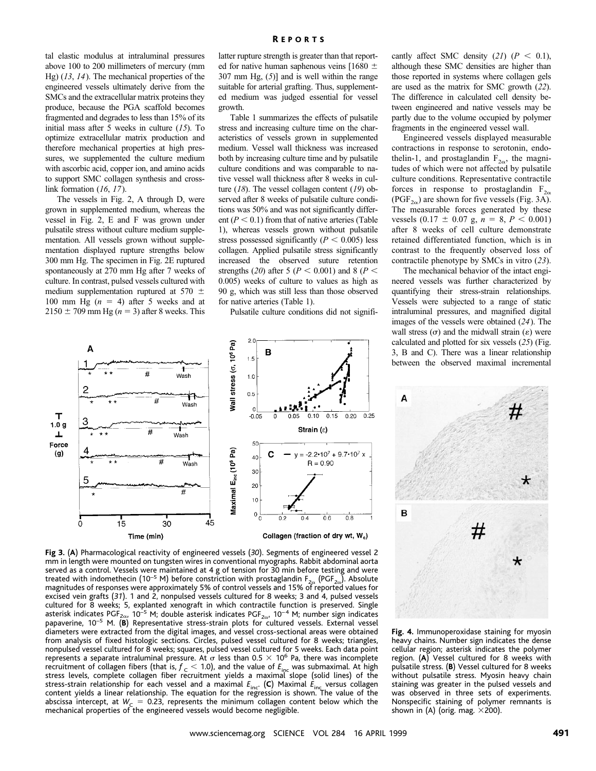tal elastic modulus at intraluminal pressures above 100 to 200 millimeters of mercury (mm Hg) (*13*, *14*). The mechanical properties of the engineered vessels ultimately derive from the SMCs and the extracellular matrix proteins they produce, because the PGA scaffold becomes fragmented and degrades to less than 15% of its initial mass after 5 weeks in culture (*15*). To optimize extracellular matrix production and therefore mechanical properties at high pressures, we supplemented the culture medium with ascorbic acid, copper ion, and amino acids to support SMC collagen synthesis and crosslink formation (*16*, *17*).

The vessels in Fig. 2, A through D, were grown in supplemented medium, whereas the vessel in Fig. 2, E and F was grown under pulsatile stress without culture medium supplementation. All vessels grown without supplementation displayed rupture strengths below 300 mm Hg. The specimen in Fig. 2E ruptured spontaneously at 270 mm Hg after 7 weeks of culture. In contrast, pulsed vessels cultured with medium supplementation ruptured at 570  $\pm$ 100 mm Hg  $(n = 4)$  after 5 weeks and at  $2150 \pm 709$  mm Hg ( $n = 3$ ) after 8 weeks. This latter rupture strength is greater than that reported for native human saphenous veins [1680  $\pm$ 307 mm Hg, (*5*)] and is well within the range suitable for arterial grafting. Thus, supplemented medium was judged essential for vessel growth.

Table 1 summarizes the effects of pulsatile stress and increasing culture time on the characteristics of vessels grown in supplemented medium. Vessel wall thickness was increased both by increasing culture time and by pulsatile culture conditions and was comparable to native vessel wall thickness after 8 weeks in culture (*18*). The vessel collagen content (*19*) observed after 8 weeks of pulsatile culture conditions was 50% and was not significantly different  $(P < 0.1)$  from that of native arteries (Table 1), whereas vessels grown without pulsatile stress possessed significantly  $(P < 0.005)$  less collagen. Applied pulsatile stress significantly increased the observed suture retention strengths (20) after 5 ( $P < 0.001$ ) and 8 ( $P <$ 0.005) weeks of culture to values as high as 90 g, which was still less than those observed for native arteries (Table 1).

Pulsatile culture conditions did not signifi-



**Fig 3.** (**A**) Pharmacological reactivity of engineered vessels (*30*). Segments of engineered vessel 2 mm in length were mounted on tungsten wires in conventional myographs. Rabbit abdominal aorta served as a control. Vessels were maintained at 4 g of tension for 30 min before testing and were treated with indomethecin (10<sup>-5</sup> M) before constriction with prostaglandin  $F_{2\alpha}$  (PGF<sub>2 $\alpha$ </sub>). Absolute magnitudes of responses were approximately 5% of control vessels and 15% of reported values for excised vein grafts (*31*). 1 and 2, nonpulsed vessels cultured for 8 weeks; 3 and 4, pulsed vessels cultured for 8 weeks; 5, explanted xenograft in which contractile function is preserved. Single asterisk indicates PGF<sub>2 $\alpha$ </sub>, 10<sup>-5</sup> M; double asterisk indicates PGF<sub>2 $\alpha$ </sub>, 10<sup>-4</sup> M; number sign indicates papaverine, 10<sup>-5</sup> M. (B) Representative stress-strain plots for cultured vessels. External vessel diameters were extracted from the digital images, and vessel cross-sectional areas were obtained from analysis of fixed histologic sections. Circles, pulsed vessel cultured for 8 weeks; triangles, nonpulsed vessel cultured for 8 weeks; squares, pulsed vessel cultured for 5 weeks. Each data point represents a separate intraluminal pressure. At  $\sigma$  less than 0.5  $\times$  10<sup>6</sup> Pa, there was incomplete recruitment of collagen fibers (that is,  $f < 1.0$ ), and the value of  $E_{\text{inc}}$  was submaximal. At high<br>stress levels, complete collagen fiber recruitment yields a maximal slope (solid lines) of the stress-strain relationship for each vessel and a maximal  $E_{\text{inc}}$  (C) Maximal  $E_{\text{inc}}$  versus collagen<br>content yields a linear relationship. The equation for the regression is shown. The value of the abscissa intercept, at  $W_c = 0.23$ , represents the minimum collagen content below which the mechanical properties of the engineered vessels would become negligible.

cantly affect SMC density  $(21)$   $(P < 0.1)$ , although these SMC densities are higher than those reported in systems where collagen gels are used as the matrix for SMC growth (*22*). The difference in calculated cell density between engineered and native vessels may be partly due to the volume occupied by polymer fragments in the engineered vessel wall.

Engineered vessels displayed measurable contractions in response to serotonin, endothelin-1, and prostaglandin  $F_{2\alpha}$ , the magnitudes of which were not affected by pulsatile culture conditions. Representative contractile forces in response to prostaglandin  $F_{2\alpha}$ (PGF<sub>2 $\alpha$ </sub>) are shown for five vessels (Fig. 3A). The measurable forces generated by these vessels  $(0.17 \pm 0.07 \text{ g}, n = 8, P < 0.001)$ after 8 weeks of cell culture demonstrate retained differentiated function, which is in contrast to the frequently observed loss of contractile phenotype by SMCs in vitro (*23*).

The mechanical behavior of the intact engineered vessels was further characterized by quantifying their stress-strain relationships. Vessels were subjected to a range of static intraluminal pressures, and magnified digital images of the vessels were obtained (*24*). The wall stress  $(\sigma)$  and the midwall strain  $(\varepsilon)$  were calculated and plotted for six vessels (*25*) (Fig. 3, B and C). There was a linear relationship between the observed maximal incremental



**Fig. 4.** Immunoperoxidase staining for myosin heavy chains. Number sign indicates the dense cellular region; asterisk indicates the polymer region. (**A**) Vessel cultured for 8 weeks with pulsatile stress. (**B**) Vessel cultured for 8 weeks without pulsatile stress. Myosin heavy chain staining was greater in the pulsed vessels and was observed in three sets of experiments. Nonspecific staining of polymer remnants is shown in (A) (orig. mag.  $\times$ 200).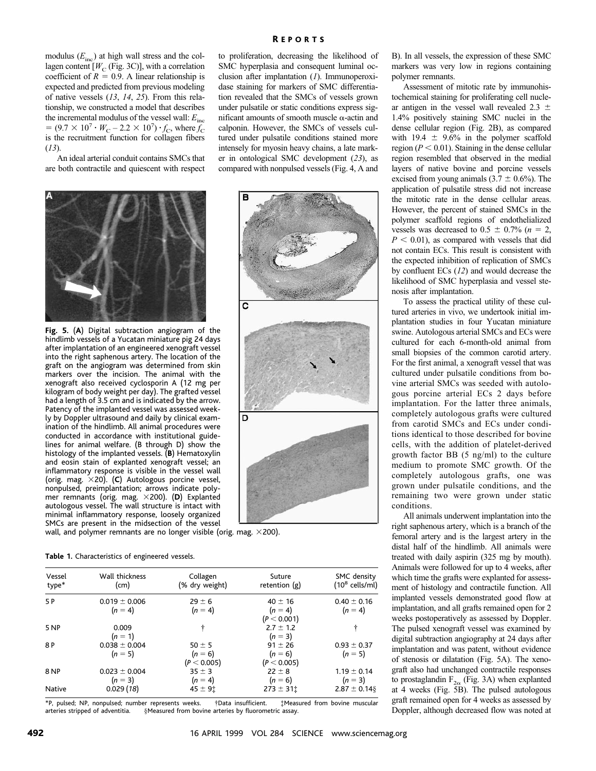modulus (*E*inc) at high wall stress and the collagen content  $[W_C$  (Fig. 3C)], with a correlation coefficient of  $R = 0.9$ . A linear relationship is expected and predicted from previous modeling of native vessels (*13*, *14*, *25*). From this relationship, we constructed a model that describes the incremental modulus of the vessel wall:  $E_{\text{inc}}$  $= (9.7 \times 10^7 \cdot W_{C} - 2.2 \times 10^7) \cdot f_{C}$ , where  $f_{C}$ is the recruitment function for collagen fibers (*13*).

An ideal arterial conduit contains SMCs that are both contractile and quiescent with respect



P

 $\overline{\mathbf{c}}$ 

D



**Fig. 5.** (**A**) Digital subtraction angiogram of the hindlimb vessels of a Yucatan miniature pig 24 days after implantation of an engineered xenograft vessel into the right saphenous artery. The location of the graft on the angiogram was determined from skin markers over the incision. The animal with the xenograft also received cyclosporin A (12 mg per kilogram of body weight per day). The grafted vessel had a length of 3.5 cm and is indicated by the arrow. Patency of the implanted vessel was assessed weekly by Doppler ultrasound and daily by clinical examination of the hindlimb. All animal procedures were conducted in accordance with institutional guidelines for animal welfare. (B through D) show the histology of the implanted vessels. (**B**) Hematoxylin and eosin stain of explanted xenograft vessel; an inflammatory response is visible in the vessel wall (orig. mag. !20). (**C**) Autologous porcine vessel, nonpulsed, preimplantation; arrows indicate polymer remnants (orig. mag. !200). (**D**) Explanted autologous vessel. The wall structure is intact with minimal inflammatory response, loosely organized SMCs are present in the midsection of the vessel

wall, and polymer remnants are no longer visible (orig. mag.  $\times$ 200).

| Table 1. Characteristics of engineered vessels. |  |  |  |
|-------------------------------------------------|--|--|--|
|-------------------------------------------------|--|--|--|

| Vessel<br>type* | Wall thickness<br>(cm)         | Collagen<br>(% dry weight)             | Suture<br>retention $(g)$               | SMC density<br>$(10^8 \text{ cells/ml})$ |  |
|-----------------|--------------------------------|----------------------------------------|-----------------------------------------|------------------------------------------|--|
| 5 P             | $0.019 \pm 0.006$<br>$(n = 4)$ | $29 \pm 6$<br>$(n = 4)$                | $40 \pm 16$<br>$(n = 4)$<br>(P < 0.001) | $0.40 \pm 0.16$<br>$(n = 4)$             |  |
| <b>5 NP</b>     | 0.009<br>$(n = 1)$             | ÷                                      | $2.7 \pm 1.2$<br>$(n = 3)$              | ÷                                        |  |
| 8 P             | $0.038 \pm 0.004$<br>$(n = 5)$ | $50 \pm 5$<br>$(n = 6)$<br>(P < 0.005) | $91 \pm 26$<br>$(n = 6)$<br>(P < 0.005) | $0.93 \pm 0.37$<br>$(n = 5)$             |  |
| 8 NP            | $0.023 \pm 0.004$<br>$(n = 3)$ | $35 \pm 3$<br>$(n = 4)$                | $22 \pm 8$<br>$(n = 6)$                 | $1.19 \pm 0.14$<br>$(n = 3)$             |  |
| <b>Native</b>   | 0.029(18)                      | $45 \pm 9$ <sup>t</sup>                | $273 \pm 31$                            | $2.87 \pm 0.14$ §                        |  |

\*P, pulsed; NP, nonpulsed; number represents weeks. †Data insufficient. ‡Measured from bovine muscular §Measured from bovine arteries by fluorometric assay.

B). In all vessels, the expression of these SMC markers was very low in regions containing polymer remnants.

Assessment of mitotic rate by immunohistochemical staining for proliferating cell nuclear antigen in the vessel wall revealed 2.3  $\pm$ 1.4% positively staining SMC nuclei in the dense cellular region (Fig. 2B), as compared with 19.4  $\pm$  9.6% in the polymer scaffold region ( $P < 0.01$ ). Staining in the dense cellular region resembled that observed in the medial layers of native bovine and porcine vessels excised from young animals  $(3.7 \pm 0.6\%)$ . The application of pulsatile stress did not increase the mitotic rate in the dense cellular areas. However, the percent of stained SMCs in the polymer scaffold regions of endothelialized vessels was decreased to  $0.5 \pm 0.7\%$  ( $n = 2$ ,  $P < 0.01$ ), as compared with vessels that did not contain ECs. This result is consistent with the expected inhibition of replication of SMCs by confluent ECs (*12*) and would decrease the likelihood of SMC hyperplasia and vessel stenosis after implantation.

To assess the practical utility of these cultured arteries in vivo, we undertook initial implantation studies in four Yucatan miniature swine. Autologous arterial SMCs and ECs were cultured for each 6-month-old animal from small biopsies of the common carotid artery. For the first animal, a xenograft vessel that was cultured under pulsatile conditions from bovine arterial SMCs was seeded with autologous porcine arterial ECs 2 days before implantation. For the latter three animals, completely autologous grafts were cultured from carotid SMCs and ECs under conditions identical to those described for bovine cells, with the addition of platelet-derived growth factor BB (5 ng/ml) to the culture medium to promote SMC growth. Of the completely autologous grafts, one was grown under pulsatile conditions, and the remaining two were grown under static conditions.

All animals underwent implantation into the right saphenous artery, which is a branch of the femoral artery and is the largest artery in the distal half of the hindlimb. All animals were treated with daily aspirin (325 mg by mouth). Animals were followed for up to 4 weeks, after which time the grafts were explanted for assessment of histology and contractile function. All implanted vessels demonstrated good flow at implantation, and all grafts remained open for 2 weeks postoperatively as assessed by Doppler. The pulsed xenograft vessel was examined by digital subtraction angiography at 24 days after implantation and was patent, without evidence of stenosis or dilatation (Fig. 5A). The xenograft also had unchanged contractile responses to prostaglandin  $F_{2\alpha}$  (Fig. 3A) when explanted at 4 weeks (Fig. 5B). The pulsed autologous graft remained open for 4 weeks as assessed by Doppler, although decreased flow was noted at